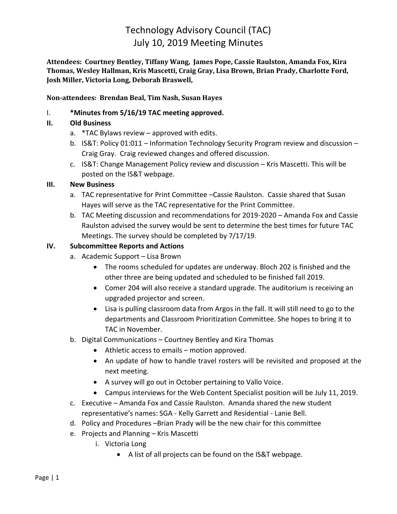# Technology Advisory Council (TAC) July 10, 2019 Meeting Minutes

**Attendees: Courtney Bentley, Tiffany Wang, James Pope, Cassie Raulston, Amanda Fox, Kira Thomas, Wesley Hallman, Kris Mascetti, Craig Gray, Lisa Brown, Brian Prady, Charlotte Ford, Josh Miller, Victoria Long, Deborah Braswell,**

**Non-attendees: Brendan Beal, Tim Nash, Susan Hayes**

# I. **\*Minutes from 5/16/19 TAC meeting approved.**

## **II. Old Business**

- a. \*TAC Bylaws review approved with edits.
- b. IS&T: Policy 01:011 Information Technology Security Program review and discussion Craig Gray. Craig reviewed changes and offered discussion.
- c. IS&T: Change Management Policy review and discussion Kris Mascetti. This will be posted on the IS&T webpage.

#### **III. New Business**

- a. TAC representative for Print Committee –Cassie Raulston. Cassie shared that Susan Hayes will serve as the TAC representative for the Print Committee.
- b. TAC Meeting discussion and recommendations for 2019-2020 Amanda Fox and Cassie Raulston advised the survey would be sent to determine the best times for future TAC Meetings. The survey should be completed by 7/17/19.

## **IV. Subcommittee Reports and Actions**

- a. Academic Support Lisa Brown
	- The rooms scheduled for updates are underway. Bloch 202 is finished and the other three are being updated and scheduled to be finished fall 2019.
	- Comer 204 will also receive a standard upgrade. The auditorium is receiving an upgraded projector and screen.
	- Lisa is pulling classroom data from Argos in the fall. It will still need to go to the departments and Classroom Prioritization Committee. She hopes to bring it to TAC in November.
- b. Digital Communications Courtney Bentley and Kira Thomas
	- Athletic access to emails motion approved.
	- An update of how to handle travel rosters will be revisited and proposed at the next meeting.
	- A survey will go out in October pertaining to Vallo Voice.
	- Campus interviews for the Web Content Specialist position will be July 11, 2019.
- c. Executive Amanda Fox and Cassie Raulston. Amanda shared the new student representative's names: SGA - Kelly Garrett and Residential - Lanie Bell.
- d. Policy and Procedures –Brian Prady will be the new chair for this committee
- e. Projects and Planning Kris Mascetti
	- i. Victoria Long
		- A list of all projects can be found on the IS&T webpage.